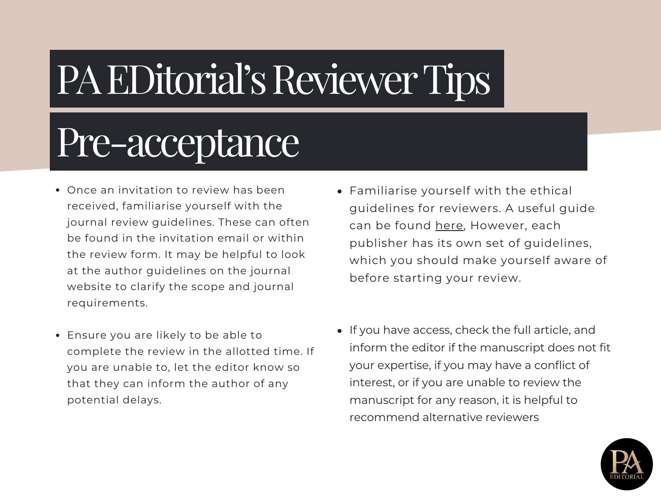#### Pre-acceptance

- Once an invitation to review has been received, familiarise yourself with the journal review guidelines. These can often be found in the invitation email or within the review form. It may be helpful to look at the author guidelines on the journal website to clarify the scope and journal requirements.
- Ensure you are likely to be able to complete the review in the allotted time. If you are unable to, let the editor know so that they can inform the author of any potential delays.
- Familiarise yourself with the ethical guidelines for reviewers. A useful guide can be found [here](https://publicationethics.org/resources/guidelines-new/cope-ethical-guidelines-peer-reviewers), However, each publisher has its own set of guidelines, which you should make yourself aware of before starting your review.
- If you have access, check the full article, and inform the editor if the manuscript does not fit your expertise, if you may have a conflict of interest, or if you are unable to review the manuscript for any reason, it is helpful to recommend alternative reviewers

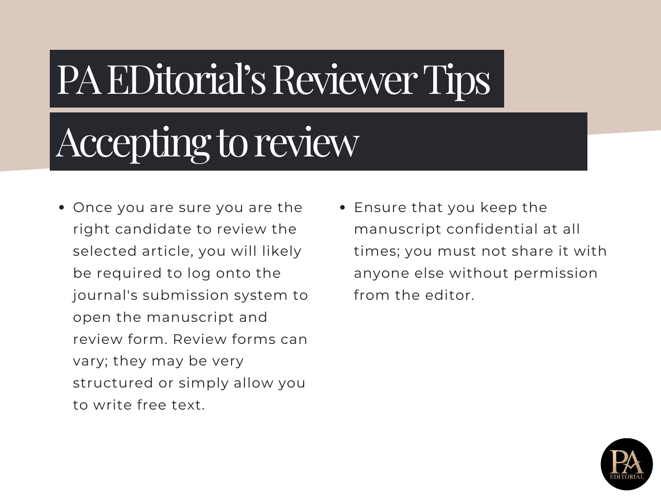#### Accepting to review

- Once you are sure you are the right candidate to review the selected article, you will likely be required to log onto the journal's submission system to open the manuscript and review form. Review forms can vary; they may be very structured or simply allow you to write free text.
- Ensure that you keep the manuscript confidential at all times; you must not share it with anyone else without permission from the editor.

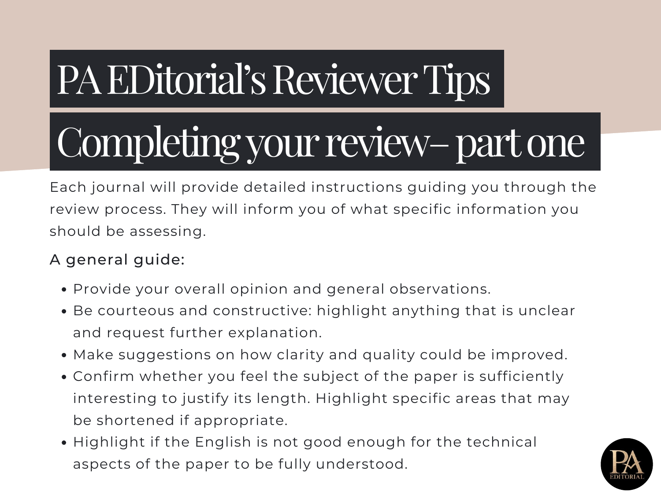# Completing your review– part one

Each journal will provide detailed instructions guiding you through the review process. They will inform you of what specific information you should be assessing.

#### A general guide:

- Provide your overall opinion and general observations.
- Be courteous and constructive: highlight anything that is unclear and request further explanation.
- Make suggestions on how clarity and quality could be improved.
- Confirm whether you feel the subject of the paper is sufficiently interesting to justify its length. Highlight specific areas that may be shortened if appropriate.
- Highlight if the English is not good enough for the technical aspects of the paper to be fully understood.

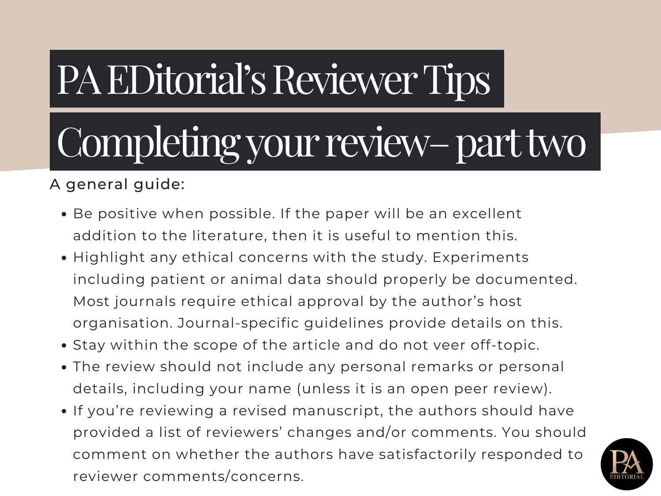# Completing your review– part two

A general guide:

- Be positive when possible. If the paper will be an excellent addition to the literature, then it is useful to mention this.
- Highlight any ethical concerns with the study. Experiments including patient or animal data should properly be documented. Most journals require ethical approval by the author's host organisation. Journal-specific guidelines provide details on this.
- Stay within the scope of the article and do not veer off-topic.
- The review should not include any personal remarks or personal details, including your name (unless it is an open peer review).
- If you're reviewing a revised manuscript, the authors should have provided a list of reviewers' changes and/or comments. You should comment on whether the authors have satisfactorily responded to reviewer comments/concerns.

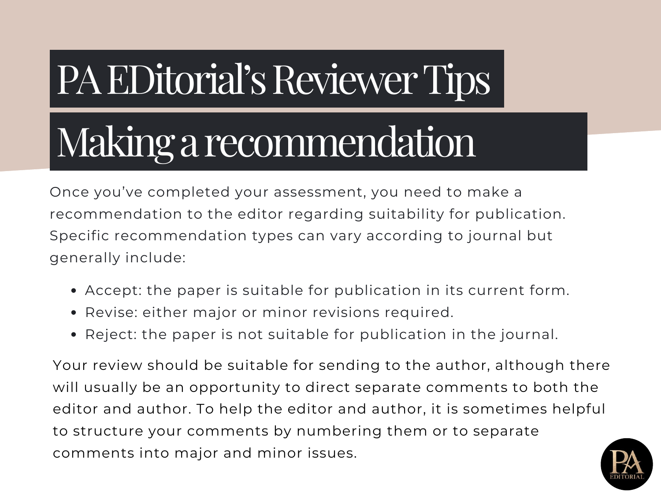#### Makingarecommendation

Once you've completed your assessment, you need to make a recommendation to the editor regarding suitability for publication. Specific recommendation types can vary according to journal but generally include:

- Accept: the paper is suitable for publication in its current form.
- Revise: either major or minor revisions required.
- Reject: the paper is not suitable for publication in the journal.

Your review should be suitable for sending to the author, although there will usually be an opportunity to direct separate comments to both the editor and author. To help the editor and author, it is sometimes helpful to structure your comments by numbering them or to separate comments into major and minor issues.

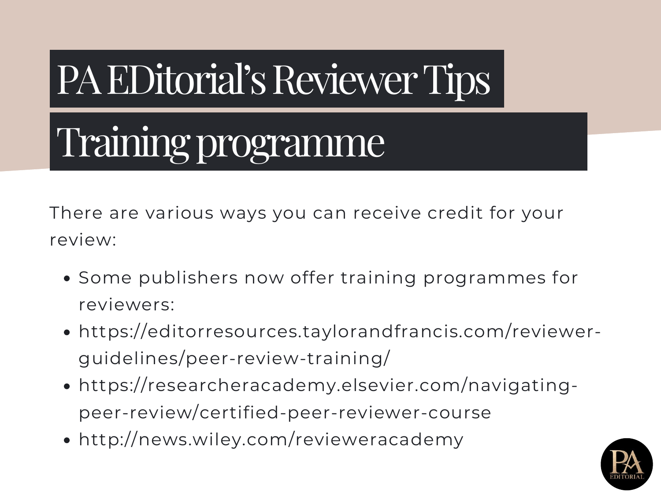#### Training programme

There are various ways you can receive credit for your review:

- Some publishers now offer training programmes for reviewers:
- [https://editorresources.taylorandfrancis.com/reviewer](https://editorresources.taylorandfrancis.com/reviewer-guidelines/peer-review-training/)guidelines/peer-review-training/
- [https://researcheracademy.elsevier.com/navigating](https://researcheracademy.elsevier.com/navigating-peer-review/certified-peer-reviewer-course)peer-review/certified-peer-reviewer-course
- http://news.wiley.com/revieweracademy

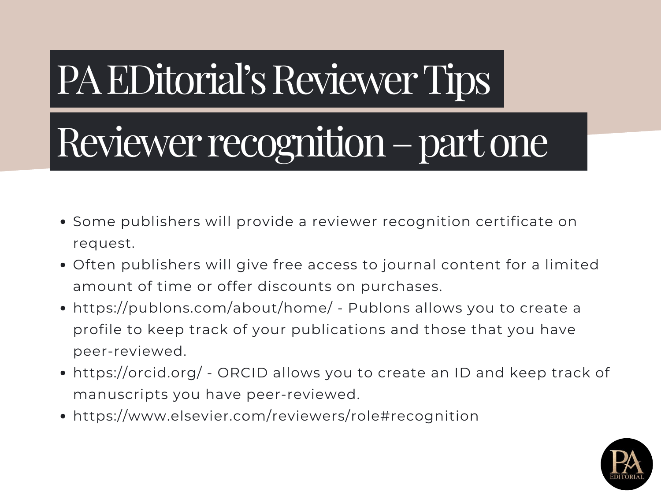#### Reviewer recognition – part one

- Some publishers will provide a reviewer recognition certificate on request.
- Often publishers will give free access to journal content for a limited amount of time or offer discounts on purchases.
- <https://publons.com/about/home/> Publons allows you to create a profile to keep track of your publications and those that you have peer-reviewed.
- <https://orcid.org/> ORCID allows you to create an ID and keep track of manuscripts you have peer-reviewed.
- https://www.elsevier.com/reviewers/role#recognition